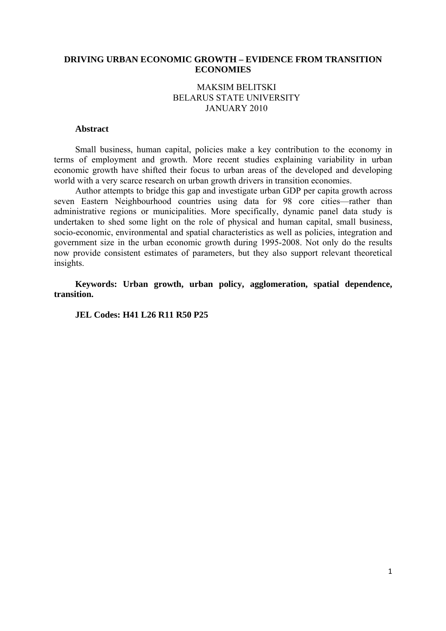### **DRIVING URBAN ECONOMIC GROWTH – EVIDENCE FROM TRANSITION ECONOMIES**

# MAKSIM BELITSKI BELARUS STATE UNIVERSITY JANUARY 2010

# **Abstract**

Small business, human capital, policies make a key contribution to the economy in terms of employment and growth. More recent studies explaining variability in urban economic growth have shifted their focus to urban areas of the developed and developing world with a very scarce research on urban growth drivers in transition economies.

Author attempts to bridge this gap and investigate urban GDP per capita growth across seven Eastern Neighbourhood countries using data for 98 core cities—rather than administrative regions or municipalities. More specifically, dynamic panel data study is undertaken to shed some light on the role of physical and human capital, small business, socio-economic, environmental and spatial characteristics as well as policies, integration and government size in the urban economic growth during 1995-2008. Not only do the results now provide consistent estimates of parameters, but they also support relevant theoretical insights.

**Keywords: Urban growth, urban policy, agglomeration, spatial dependence, transition.** 

**JEL Codes: H41 L26 R11 R50 P25**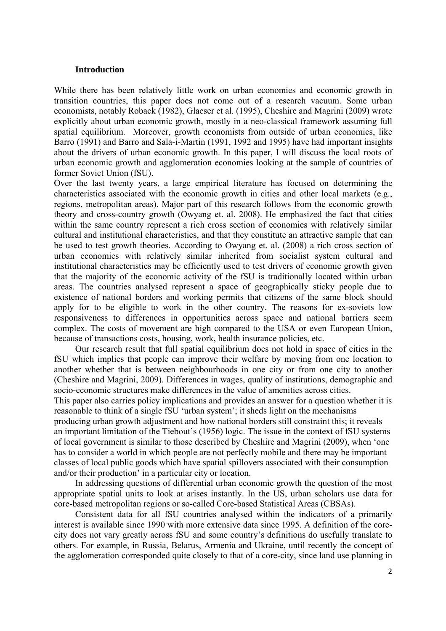#### **Introduction**

While there has been relatively little work on urban economies and economic growth in transition countries, this paper does not come out of a research vacuum. Some urban economists, notably Roback (1982), Glaeser et al. (1995), Cheshire and Magrini (2009) wrote explicitly about urban economic growth, mostly in a neo-classical framework assuming full spatial equilibrium. Moreover, growth economists from outside of urban economics, like Barro (1991) and Barro and Sala-i-Martin (1991, 1992 and 1995) have had important insights about the drivers of urban economic growth. In this paper, I will discuss the local roots of urban economic growth and agglomeration economies looking at the sample of countries of former Soviet Union (fSU).

Over the last twenty years, a large empirical literature has focused on determining the characteristics associated with the economic growth in cities and other local markets (e.g., regions, metropolitan areas). Major part of this research follows from the economic growth theory and cross-country growth (Owyang et. al. 2008). He emphasized the fact that cities within the same country represent a rich cross section of economies with relatively similar cultural and institutional characteristics, and that they constitute an attractive sample that can be used to test growth theories. According to Owyang et. al. (2008) a rich cross section of urban economies with relatively similar inherited from socialist system cultural and institutional characteristics may be efficiently used to test drivers of economic growth given that the majority of the economic activity of the fSU is traditionally located within urban areas. The countries analysed represent a space of geographically sticky people due to existence of national borders and working permits that citizens of the same block should apply for to be eligible to work in the other country. The reasons for ex-soviets low responsiveness to differences in opportunities across space and national barriers seem complex. The costs of movement are high compared to the USA or even European Union, because of transactions costs, housing, work, health insurance policies, etc.

Our research result that full spatial equilibrium does not hold in space of cities in the fSU which implies that people can improve their welfare by moving from one location to another whether that is between neighbourhoods in one city or from one city to another (Cheshire and Magrini, 2009). Differences in wages, quality of institutions, demographic and socio-economic structures make differences in the value of amenities across cities.

This paper also carries policy implications and provides an answer for a question whether it is reasonable to think of a single fSU 'urban system'; it sheds light on the mechanisms

producing urban growth adjustment and how national borders still constraint this; it reveals an important limitation of the Tiebout's (1956) logic. The issue in the context of fSU systems of local government is similar to those described by Cheshire and Magrini (2009), when 'one has to consider a world in which people are not perfectly mobile and there may be important classes of local public goods which have spatial spillovers associated with their consumption and/or their production' in a particular city or location.

In addressing questions of differential urban economic growth the question of the most appropriate spatial units to look at arises instantly. In the US, urban scholars use data for core-based metropolitan regions or so-called Core-based Statistical Areas (CBSAs).

Consistent data for all fSU countries analysed within the indicators of a primarily interest is available since 1990 with more extensive data since 1995. A definition of the corecity does not vary greatly across fSU and some country's definitions do usefully translate to others. For example, in Russia, Belarus, Armenia and Ukraine, until recently the concept of the agglomeration corresponded quite closely to that of a core-city, since land use planning in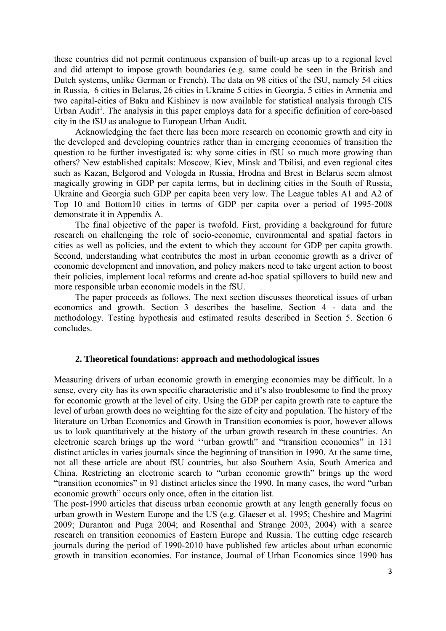these countries did not permit continuous expansion of built-up areas up to a regional level and did attempt to impose growth boundaries (e.g. same could be seen in the British and Dutch systems, unlike German or French). The data on 98 cities of the fSU, namely 54 cities in Russia, 6 cities in Belarus, 26 cities in Ukraine 5 cities in Georgia, 5 cities in Armenia and two capital-cities of Baku and Kishinev is now available for statistical analysis through CIS Urban Audit<sup>1</sup>. The analysis in this paper employs data for a specific definition of core-based city in the fSU as analogue to European Urban Audit.

Acknowledging the fact there has been more research on economic growth and city in the developed and developing countries rather than in emerging economies of transition the question to be further investigated is: why some cities in fSU so much more growing than others? New established capitals: Moscow, Kiev, Minsk and Tbilisi, and even regional cites such as Kazan, Belgorod and Vologda in Russia, Hrodna and Brest in Belarus seem almost magically growing in GDP per capita terms, but in declining cities in the South of Russia, Ukraine and Georgia such GDP per capita been very low. The League tables A1 and A2 of Top 10 and Bottom10 cities in terms of GDP per capita over a period of 1995-2008 demonstrate it in Appendix A.

The final objective of the paper is twofold. First, providing a background for future research on challenging the role of socio-economic, environmental and spatial factors in cities as well as policies, and the extent to which they account for GDP per capita growth. Second, understanding what contributes the most in urban economic growth as a driver of economic development and innovation, and policy makers need to take urgent action to boost their policies, implement local reforms and create ad-hoc spatial spillovers to build new and more responsible urban economic models in the fSU.

The paper proceeds as follows. The next section discusses theoretical issues of urban economics and growth. Section 3 describes the baseline, Section 4 - data and the methodology. Testing hypothesis and estimated results described in Section 5. Section 6 concludes.

#### **2. Theoretical foundations: approach and methodological issues**

Measuring drivers of urban economic growth in emerging economies may be difficult. In a sense, every city has its own specific characteristic and it's also troublesome to find the proxy for economic growth at the level of city. Using the GDP per capita growth rate to capture the level of urban growth does no weighting for the size of city and population. The history of the literature on Urban Economics and Growth in Transition economies is poor, however allows us to look quantitatively at the history of the urban growth research in these countries. An electronic search brings up the word ''urban growth" and "transition economies" in 131 distinct articles in varies journals since the beginning of transition in 1990. At the same time, not all these article are about fSU countries, but also Southern Asia, South America and China. Restricting an electronic search to "urban economic growth" brings up the word "transition economies" in 91 distinct articles since the 1990. In many cases, the word "urban economic growth" occurs only once, often in the citation list.

The post-1990 articles that discuss urban economic growth at any length generally focus on urban growth in Western Europe and the US (e.g. Glaeser et al. 1995; Cheshire and Magrini 2009; Duranton and Puga 2004; and Rosenthal and Strange 2003, 2004) with a scarce research on transition economies of Eastern Europe and Russia. The cutting edge research journals during the period of 1990-2010 have published few articles about urban economic growth in transition economies. For instance, Journal of Urban Economics since 1990 has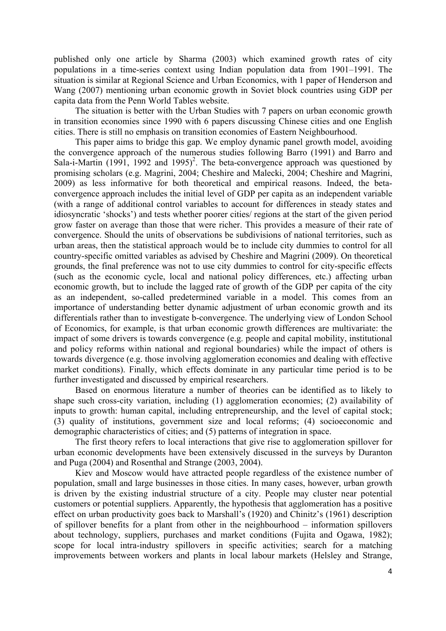published only one article by Sharma (2003) which examined growth rates of city populations in a time-series context using Indian population data from 1901–1991. The situation is similar at Regional Science and Urban Economics, with 1 paper of Henderson and Wang (2007) mentioning urban economic growth in Soviet block countries using GDP per capita data from the Penn World Tables website.

The situation is better with the Urban Studies with 7 papers on urban economic growth in transition economies since 1990 with 6 papers discussing Chinese cities and one English cities. There is still no emphasis on transition economies of Eastern Neighbourhood.

This paper aims to bridge this gap. We employ dynamic panel growth model, avoiding the convergence approach of the numerous studies following Barro (1991) and Barro and Sala-i-Martin (1991, 1992 and 1995)<sup>2</sup>. The beta-convergence approach was questioned by promising scholars (e.g. Magrini, 2004; Cheshire and Malecki, 2004; Cheshire and Magrini, 2009) as less informative for both theoretical and empirical reasons. Indeed, the betaconvergence approach includes the initial level of GDP per capita as an independent variable (with a range of additional control variables to account for differences in steady states and idiosyncratic 'shocks') and tests whether poorer cities/ regions at the start of the given period grow faster on average than those that were richer. This provides a measure of their rate of convergence. Should the units of observations be subdivisions of national territories, such as urban areas, then the statistical approach would be to include city dummies to control for all country-specific omitted variables as advised by Cheshire and Magrini (2009). On theoretical grounds, the final preference was not to use city dummies to control for city-specific effects (such as the economic cycle, local and national policy differences, etc.) affecting urban economic growth, but to include the lagged rate of growth of the GDP per capita of the city as an independent, so-called predetermined variable in a model. This comes from an importance of understanding better dynamic adjustment of urban economic growth and its differentials rather than to investigate b-convergence. The underlying view of London School of Economics, for example, is that urban economic growth differences are multivariate: the impact of some drivers is towards convergence (e.g. people and capital mobility, institutional and policy reforms within national and regional boundaries) while the impact of others is towards divergence (e.g. those involving agglomeration economies and dealing with effective market conditions). Finally, which effects dominate in any particular time period is to be further investigated and discussed by empirical researchers.

Based on enormous literature a number of theories can be identified as to likely to shape such cross-city variation, including (1) agglomeration economies; (2) availability of inputs to growth: human capital, including entrepreneurship, and the level of capital stock; (3) quality of institutions, government size and local reforms; (4) socioeconomic and demographic characteristics of cities; and (5) patterns of integration in space.

The first theory refers to local interactions that give rise to agglomeration spillover for urban economic developments have been extensively discussed in the surveys by Duranton and Puga (2004) and Rosenthal and Strange (2003, 2004).

Kiev and Moscow would have attracted people regardless of the existence number of population, small and large businesses in those cities. In many cases, however, urban growth is driven by the existing industrial structure of a city. People may cluster near potential customers or potential suppliers. Apparently, the hypothesis that agglomeration has a positive effect on urban productivity goes back to Marshall's (1920) and Chinitz's (1961) description of spillover benefits for a plant from other in the neighbourhood – information spillovers about technology, suppliers, purchases and market conditions (Fujita and Ogawa, 1982); scope for local intra-industry spillovers in specific activities; search for a matching improvements between workers and plants in local labour markets (Helsley and Strange,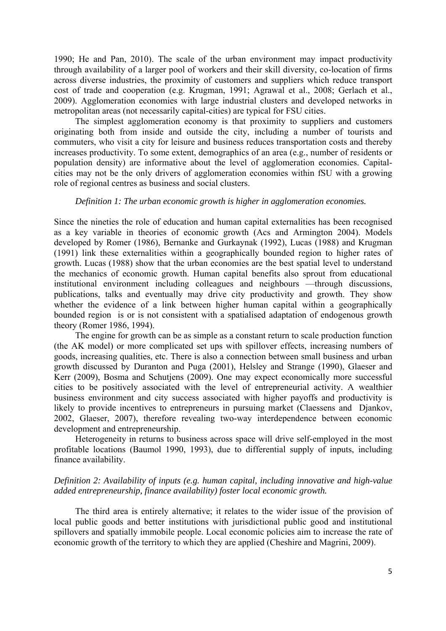1990; He and Pan, 2010). The scale of the urban environment may impact productivity through availability of a larger pool of workers and their skill diversity, co-location of firms across diverse industries, the proximity of customers and suppliers which reduce transport cost of trade and cooperation (e.g. Krugman, 1991; Agrawal et al., 2008; Gerlach et al., 2009). Agglomeration economies with large industrial clusters and developed networks in metropolitan areas (not necessarily capital-cities) are typical for FSU cities.

The simplest agglomeration economy is that proximity to suppliers and customers originating both from inside and outside the city, including a number of tourists and commuters, who visit a city for leisure and business reduces transportation costs and thereby increases productivity. To some extent, demographics of an area (e.g., number of residents or population density) are informative about the level of agglomeration economies. Capitalcities may not be the only drivers of agglomeration economies within fSU with a growing role of regional centres as business and social clusters.

#### *Definition 1: The urban economic growth is higher in agglomeration economies.*

Since the nineties the role of education and human capital externalities has been recognised as a key variable in theories of economic growth (Acs and Armington 2004). Models developed by Romer (1986), Bernanke and Gurkaynak (1992), Lucas (1988) and Krugman (1991) link these externalities within a geographically bounded region to higher rates of growth. Lucas (1988) show that the urban economies are the best spatial level to understand the mechanics of economic growth. Human capital benefits also sprout from educational institutional environment including colleagues and neighbours —through discussions, publications, talks and eventually may drive city productivity and growth. They show whether the evidence of a link between higher human capital within a geographically bounded region is or is not consistent with a spatialised adaptation of endogenous growth theory (Romer 1986, 1994).

The engine for growth can be as simple as a constant return to scale production function (the AK model) or more complicated set ups with spillover effects, increasing numbers of goods, increasing qualities, etc. There is also a connection between small business and urban growth discussed by Duranton and Puga (2001), Helsley and Strange (1990), Glaeser and Kerr (2009), Bosma and Schutjens (2009). One may expect economically more successful cities to be positively associated with the level of entrepreneurial activity. A wealthier business environment and city success associated with higher payoffs and productivity is likely to provide incentives to entrepreneurs in pursuing market (Claessens and Diankov, 2002, Glaeser, 2007), therefore revealing two-way interdependence between economic development and entrepreneurship.

Heterogeneity in returns to business across space will drive self-employed in the most profitable locations (Baumol 1990, 1993), due to differential supply of inputs, including finance availability.

# *Definition 2: Availability of inputs (e.g. human capital, including innovative and high-value added entrepreneurship, finance availability) foster local economic growth.*

The third area is entirely alternative; it relates to the wider issue of the provision of local public goods and better institutions with jurisdictional public good and institutional spillovers and spatially immobile people. Local economic policies aim to increase the rate of economic growth of the territory to which they are applied (Cheshire and Magrini, 2009).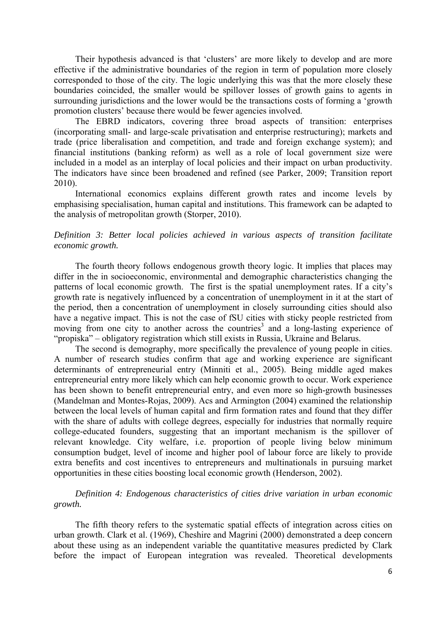Their hypothesis advanced is that 'clusters' are more likely to develop and are more effective if the administrative boundaries of the region in term of population more closely corresponded to those of the city. The logic underlying this was that the more closely these boundaries coincided, the smaller would be spillover losses of growth gains to agents in surrounding jurisdictions and the lower would be the transactions costs of forming a 'growth promotion clusters' because there would be fewer agencies involved.

The EBRD indicators, covering three broad aspects of transition: enterprises (incorporating small- and large-scale privatisation and enterprise restructuring); markets and trade (price liberalisation and competition, and trade and foreign exchange system); and financial institutions (banking reform) as well as a role of local government size were included in a model as an interplay of local policies and their impact on urban productivity. The indicators have since been broadened and refined (see Parker, 2009; Transition report 2010).

International economics explains different growth rates and income levels by emphasising specialisation, human capital and institutions. This framework can be adapted to the analysis of metropolitan growth (Storper, 2010).

# *Definition 3: Better local policies achieved in various aspects of transition facilitate economic growth.*

The fourth theory follows endogenous growth theory logic. It implies that places may differ in the in socioeconomic, environmental and demographic characteristics changing the patterns of local economic growth. The first is the spatial unemployment rates. If a city's growth rate is negatively influenced by a concentration of unemployment in it at the start of the period, then a concentration of unemployment in closely surrounding cities should also have a negative impact. This is not the case of fSU cities with sticky people restricted from moving from one city to another across the countries<sup>3</sup> and a long-lasting experience of "propiska" – obligatory registration which still exists in Russia, Ukraine and Belarus.

The second is demography, more specifically the prevalence of young people in cities. A number of research studies confirm that age and working experience are significant determinants of entrepreneurial entry (Minniti et al., 2005). Being middle aged makes entrepreneurial entry more likely which can help economic growth to occur. Work experience has been shown to benefit entrepreneurial entry, and even more so high-growth businesses (Mandelman and Montes-Rojas, 2009). Acs and Armington (2004) examined the relationship between the local levels of human capital and firm formation rates and found that they differ with the share of adults with college degrees, especially for industries that normally require college-educated founders, suggesting that an important mechanism is the spillover of relevant knowledge. City welfare, i.e. proportion of people living below minimum consumption budget, level of income and higher pool of labour force are likely to provide extra benefits and cost incentives to entrepreneurs and multinationals in pursuing market opportunities in these cities boosting local economic growth (Henderson, 2002).

# *Definition 4: Endogenous characteristics of cities drive variation in urban economic growth.*

The fifth theory refers to the systematic spatial effects of integration across cities on urban growth. Clark et al. (1969), Cheshire and Magrini (2000) demonstrated a deep concern about these using as an independent variable the quantitative measures predicted by Clark before the impact of European integration was revealed. Theoretical developments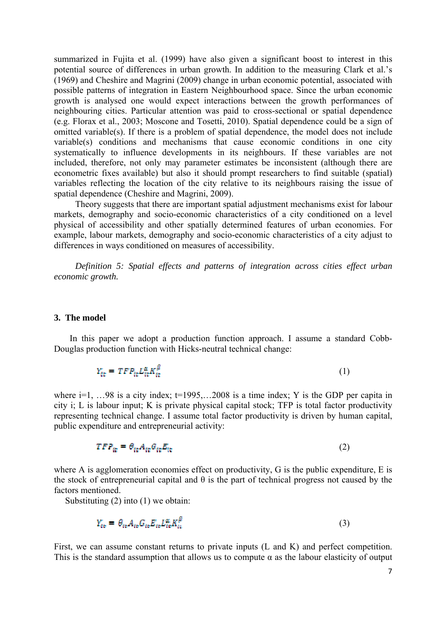summarized in Fujita et al. (1999) have also given a significant boost to interest in this potential source of differences in urban growth. In addition to the measuring Clark et al.'s (1969) and Cheshire and Magrini (2009) change in urban economic potential, associated with possible patterns of integration in Eastern Neighbourhood space. Since the urban economic growth is analysed one would expect interactions between the growth performances of neighbouring cities. Particular attention was paid to cross-sectional or spatial dependence (e.g. Florax et al., 2003; Moscone and Tosetti, 2010). Spatial dependence could be a sign of omitted variable(s). If there is a problem of spatial dependence, the model does not include variable(s) conditions and mechanisms that cause economic conditions in one city systematically to influence developments in its neighbours. If these variables are not included, therefore, not only may parameter estimates be inconsistent (although there are econometric fixes available) but also it should prompt researchers to find suitable (spatial) variables reflecting the location of the city relative to its neighbours raising the issue of spatial dependence (Cheshire and Magrini, 2009).

Theory suggests that there are important spatial adjustment mechanisms exist for labour markets, demography and socio-economic characteristics of a city conditioned on a level physical of accessibility and other spatially determined features of urban economies. For example, labour markets, demography and socio-economic characteristics of a city adjust to differences in ways conditioned on measures of accessibility.

*Definition 5: Spatial effects and patterns of integration across cities effect urban economic growth.* 

#### **3. The model**

 In this paper we adopt a production function approach. I assume a standard Cobb-Douglas production function with Hicks-neutral technical change:

$$
Y_{tt} = TFP_{tt}L_{tt}^{\alpha}K_{tt}^{\beta}
$$
 (1)

where  $i=1, \ldots 98$  is a city index;  $t=1995,\ldots 2008$  is a time index; Y is the GDP per capita in city i; L is labour input; K is private physical capital stock; TFP is total factor productivity representing technical change. I assume total factor productivity is driven by human capital, public expenditure and entrepreneurial activity:

$$
TFP_{it} = \theta_{it}A_{it}G_{it}E_{it}
$$
 (2)

where A is agglomeration economies effect on productivity, G is the public expenditure, E is the stock of entrepreneurial capital and  $\theta$  is the part of technical progress not caused by the factors mentioned.

Substituting (2) into (1) we obtain:

$$
Y_{ee} = \theta_{ie} A_{ie} G_{ie} E_{ie} E_{ie}^{\alpha} K_{ie}^{\beta} \tag{3}
$$

First, we can assume constant returns to private inputs (L and K) and perfect competition. This is the standard assumption that allows us to compute  $\alpha$  as the labour elasticity of output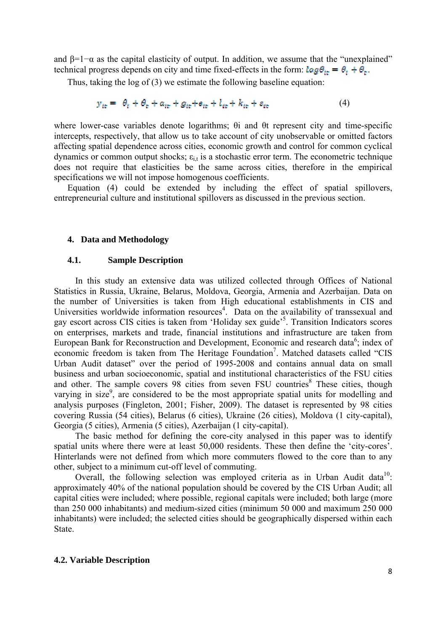and  $\beta=1-\alpha$  as the capital elasticity of output. In addition, we assume that the "unexplained" technical progress depends on city and time fixed-effects in the form:  $\log \theta_{\text{tr}} = \theta_t + \theta_t$ .

Thus, taking the log of (3) we estimate the following baseline equation:

$$
y_{it} = \theta_t + \theta_t + a_{it} + g_{it} + a_{it} + l_{it} + k_{it} + a_{it} \tag{4}
$$

where lower-case variables denote logarithms; θi and θt represent city and time-specific intercepts, respectively, that allow us to take account of city unobservable or omitted factors affecting spatial dependence across cities, economic growth and control for common cyclical dynamics or common output shocks;  $\varepsilon_{i,t}$  is a stochastic error term. The econometric technique does not require that elasticities be the same across cities, therefore in the empirical specifications we will not impose homogenous coefficients.

Equation (4) could be extended by including the effect of spatial spillovers, entrepreneurial culture and institutional spillovers as discussed in the previous section.

#### **4. Data and Methodology**

#### **4.1. Sample Description**

In this study an extensive data was utilized collected through Offices of National Statistics in Russia, Ukraine, Belarus, Moldova, Georgia, Armenia and Azerbaijan. Data on the number of Universities is taken from High educational establishments in CIS and Universities worldwide information resources<sup>4</sup>. Data on the availability of transsexual and gay escort across CIS cities is taken from 'Holiday sex guide'<sup>5</sup>. Transition Indicators scores on enterprises, markets and trade, financial institutions and infrastructure are taken from European Bank for Reconstruction and Development, Economic and research data<sup>6</sup>; index of economic freedom is taken from The Heritage Foundation<sup>7</sup>. Matched datasets called "CIS Urban Audit dataset" over the period of 1995-2008 and contains annual data on small business and urban socioeconomic, spatial and institutional characteristics of the FSU cities and other. The sample covers 98 cities from seven FSU countries<sup>8</sup> These cities, though varying in size<sup>9</sup>, are considered to be the most appropriate spatial units for modelling and analysis purposes (Fingleton, 2001; Fisher, 2009). The dataset is represented by 98 cities covering Russia (54 cities), Belarus (6 cities), Ukraine (26 cities), Moldova (1 city-capital), Georgia (5 cities), Armenia (5 cities), Azerbaijan (1 city-capital).

The basic method for defining the core-city analysed in this paper was to identify spatial units where there were at least 50,000 residents. These then define the 'city-cores'. Hinterlands were not defined from which more commuters flowed to the core than to any other, subject to a minimum cut-off level of commuting.

Overall, the following selection was employed criteria as in Urban Audit data<sup>10</sup>: approximately 40% of the national population should be covered by the CIS Urban Audit; all capital cities were included; where possible, regional capitals were included; both large (more than 250 000 inhabitants) and medium-sized cities (minimum 50 000 and maximum 250 000 inhabitants) were included; the selected cities should be geographically dispersed within each State.

#### **4.2. Variable Description**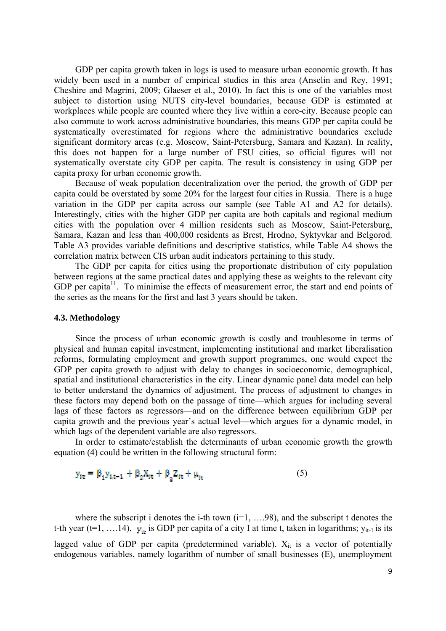GDP per capita growth taken in logs is used to measure urban economic growth. It has widely been used in a number of empirical studies in this area (Anselin and Rey, 1991; Cheshire and Magrini, 2009; Glaeser et al., 2010). In fact this is one of the variables most subject to distortion using NUTS city-level boundaries, because GDP is estimated at workplaces while people are counted where they live within a core-city. Because people can also commute to work across administrative boundaries, this means GDP per capita could be systematically overestimated for regions where the administrative boundaries exclude significant dormitory areas (e.g. Moscow, Saint-Petersburg, Samara and Kazan). In reality, this does not happen for a large number of FSU cities, so official figures will not systematically overstate city GDP per capita. The result is consistency in using GDP per capita proxy for urban economic growth.

Because of weak population decentralization over the period, the growth of GDP per capita could be overstated by some 20% for the largest four cities in Russia. There is a huge variation in the GDP per capita across our sample (see Table A1 and A2 for details). Interestingly, cities with the higher GDP per capita are both capitals and regional medium cities with the population over 4 million residents such as Moscow, Saint-Petersburg, Samara, Kazan and less than 400,000 residents as Brest, Hrodno, Syktyvkar and Belgorod. Table A3 provides variable definitions and descriptive statistics, while Table A4 shows the correlation matrix between CIS urban audit indicators pertaining to this study.

The GDP per capita for cities using the proportionate distribution of city population between regions at the same practical dates and applying these as weights to the relevant city GDP per capita<sup>11</sup>. To minimise the effects of measurement error, the start and end points of the series as the means for the first and last 3 years should be taken.

#### **4.3. Methodology**

Since the process of urban economic growth is costly and troublesome in terms of physical and human capital investment, implementing institutional and market liberalisation reforms, formulating employment and growth support programmes, one would expect the GDP per capita growth to adjust with delay to changes in socioeconomic, demographical, spatial and institutional characteristics in the city. Linear dynamic panel data model can help to better understand the dynamics of adjustment. The process of adjustment to changes in these factors may depend both on the passage of time—which argues for including several lags of these factors as regressors—and on the difference between equilibrium GDP per capita growth and the previous year's actual level—which argues for a dynamic model, in which lags of the dependent variable are also regressors.

In order to estimate/establish the determinants of urban economic growth the growth equation (4) could be written in the following structural form:

$$
y_{it} = \beta_1 y_{it-1} + \beta_2 X_{it} + \beta_3 Z_{it} + \mu_{it}
$$
 (5)

where the subscript i denotes the i-th town  $(i=1, \ldots, 98)$ , and the subscript t denotes the t-th year (t=1, ... 14),  $y_{\text{tr}}$  is GDP per capita of a city I at time t, taken in logarithms;  $y_{\text{it-1}}$  is its lagged value of GDP per capita (predetermined variable).  $X_{it}$  is a vector of potentially endogenous variables, namely logarithm of number of small businesses (E), unemployment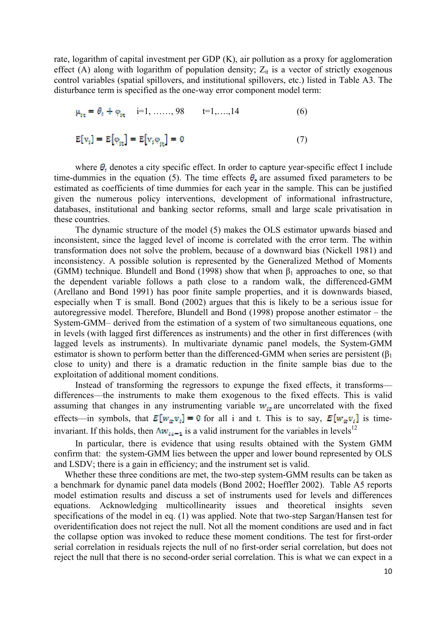rate, logarithm of capital investment per GDP (K), air pollution as a proxy for agglomeration effect (A) along with logarithm of population density;  $Z_{it}$  is a vector of strictly exogenous control variables (spatial spillovers, and institutional spillovers, etc.) listed in Table A3. The disturbance term is specified as the one-way error component model term:

$$
\mu_{it} = \theta_t + \varphi_{it} \quad i=1, \dots, 98 \quad t=1, \dots, 14 \tag{6}
$$

$$
E[v_i] = E[\varphi_{it}] = E[v_i \varphi_{it}] = 0 \tag{7}
$$

where  $\theta_i$  denotes a city specific effect. In order to capture year-specific effect I include time-dummies in the equation (5). The time effects  $\theta_r$  are assumed fixed parameters to be estimated as coefficients of time dummies for each year in the sample. This can be justified given the numerous policy interventions, development of informational infrastructure, databases, institutional and banking sector reforms, small and large scale privatisation in these countries.

The dynamic structure of the model (5) makes the OLS estimator upwards biased and inconsistent, since the lagged level of income is correlated with the error term. The within transformation does not solve the problem, because of a downward bias (Nickell 1981) and inconsistency. A possible solution is represented by the Generalized Method of Moments (GMM) technique. Blundell and Bond (1998) show that when  $\beta_1$  approaches to one, so that the dependent variable follows a path close to a random walk, the differenced-GMM (Arellano and Bond 1991) has poor finite sample properties, and it is downwards biased, especially when T is small. Bond (2002) argues that this is likely to be a serious issue for autoregressive model. Therefore, Blundell and Bond (1998) propose another estimator – the System-GMM– derived from the estimation of a system of two simultaneous equations, one in levels (with lagged first differences as instruments) and the other in first differences (with lagged levels as instruments). In multivariate dynamic panel models, the System-GMM estimator is shown to perform better than the differenced-GMM when series are persistent  $(\beta_1)$ close to unity) and there is a dramatic reduction in the finite sample bias due to the exploitation of additional moment conditions.

Instead of transforming the regressors to expunge the fixed effects, it transforms differences—the instruments to make them exogenous to the fixed effects. This is valid assuming that changes in any instrumenting variable  $w_{tt}$  are uncorrelated with the fixed effects—in symbols, that  $E[w_{ir}v_i] = 0$  for all i and t. This is to say,  $E[w_{ir}v_i]$  is timeinvariant. If this holds, then  $\Delta w_{i,i-1}$  is a valid instrument for the variables in levels<sup>12</sup>

In particular, there is evidence that using results obtained with the System GMM confirm that: the system-GMM lies between the upper and lower bound represented by OLS and LSDV; there is a gain in efficiency; and the instrument set is valid.

Whether these three conditions are met, the two-step system-GMM results can be taken as a benchmark for dynamic panel data models (Bond 2002; Hoeffler 2002). Table A5 reports model estimation results and discuss a set of instruments used for levels and differences equations. Acknowledging multicollinearity issues and theoretical insights seven specifications of the model in eq. (1) was applied. Note that two-step Sargan/Hansen test for overidentification does not reject the null. Not all the moment conditions are used and in fact the collapse option was invoked to reduce these moment conditions. The test for first-order serial correlation in residuals rejects the null of no first-order serial correlation, but does not reject the null that there is no second-order serial correlation. This is what we can expect in a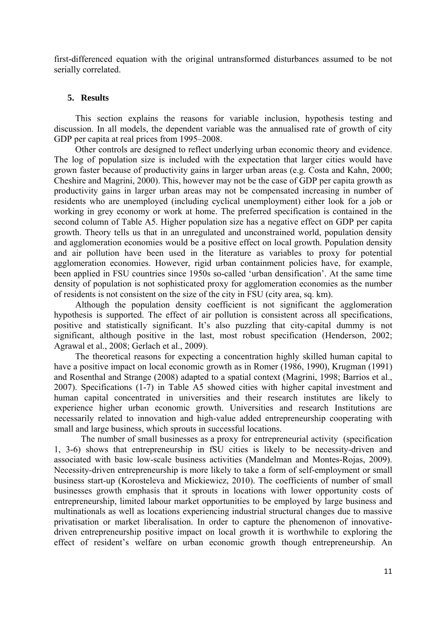first-differenced equation with the original untransformed disturbances assumed to be not serially correlated.

#### **5. Results**

This section explains the reasons for variable inclusion, hypothesis testing and discussion. In all models, the dependent variable was the annualised rate of growth of city GDP per capita at real prices from 1995–2008.

Other controls are designed to reflect underlying urban economic theory and evidence. The log of population size is included with the expectation that larger cities would have grown faster because of productivity gains in larger urban areas (e.g. Costa and Kahn, 2000; Cheshire and Magrini, 2000). This, however may not be the case of GDP per capita growth as productivity gains in larger urban areas may not be compensated increasing in number of residents who are unemployed (including cyclical unemployment) either look for a job or working in grey economy or work at home. The preferred specification is contained in the second column of Table A5. Higher population size has a negative effect on GDP per capita growth. Theory tells us that in an unregulated and unconstrained world, population density and agglomeration economies would be a positive effect on local growth. Population density and air pollution have been used in the literature as variables to proxy for potential agglomeration economies. However, rigid urban containment policies have, for example, been applied in FSU countries since 1950s so-called 'urban densification'. At the same time density of population is not sophisticated proxy for agglomeration economies as the number of residents is not consistent on the size of the city in FSU (city area, sq. km).

Although the population density coefficient is not significant the agglomeration hypothesis is supported. The effect of air pollution is consistent across all specifications, positive and statistically significant. It's also puzzling that city-capital dummy is not significant, although positive in the last, most robust specification (Henderson, 2002; Agrawal et al., 2008; Gerlach et al., 2009).

The theoretical reasons for expecting a concentration highly skilled human capital to have a positive impact on local economic growth as in Romer (1986, 1990), Krugman (1991) and Rosenthal and Strange (2008) adapted to a spatial context (Magrini, 1998; Barrios et al., 2007). Specifications (1-7) in Table A5 showed cities with higher capital investment and human capital concentrated in universities and their research institutes are likely to experience higher urban economic growth. Universities and research Institutions are necessarily related to innovation and high-value added entrepreneurship cooperating with small and large business, which sprouts in successful locations.

 The number of small businesses as a proxy for entrepreneurial activity (specification 1, 3-6) shows that entrepreneurship in fSU cities is likely to be necessity-driven and associated with basic low-scale business activities (Mandelman and Montes-Rojas, 2009). Necessity-driven entrepreneurship is more likely to take a form of self-employment or small business start-up (Korosteleva and Mickiewicz, 2010). The coefficients of number of small businesses growth emphasis that it sprouts in locations with lower opportunity costs of entrepreneurship, limited labour market opportunities to be employed by large business and multinationals as well as locations experiencing industrial structural changes due to massive privatisation or market liberalisation. In order to capture the phenomenon of innovativedriven entrepreneurship positive impact on local growth it is worthwhile to exploring the effect of resident's welfare on urban economic growth though entrepreneurship. An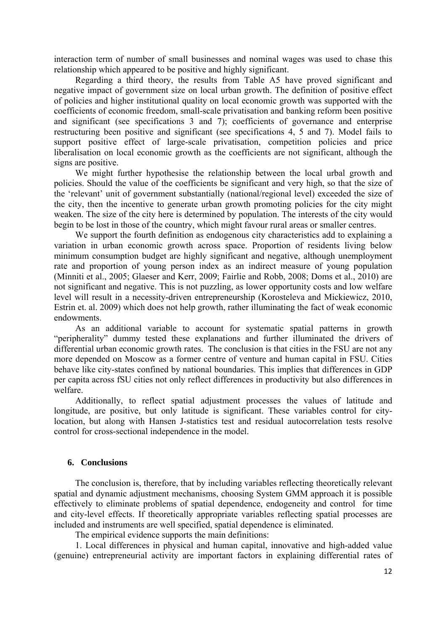interaction term of number of small businesses and nominal wages was used to chase this relationship which appeared to be positive and highly significant.

Regarding a third theory, the results from Table A5 have proved significant and negative impact of government size on local urban growth. The definition of positive effect of policies and higher institutional quality on local economic growth was supported with the coefficients of economic freedom, small-scale privatisation and banking reform been positive and significant (see specifications 3 and 7); coefficients of governance and enterprise restructuring been positive and significant (see specifications 4, 5 and 7). Model fails to support positive effect of large-scale privatisation, competition policies and price liberalisation on local economic growth as the coefficients are not significant, although the signs are positive.

We might further hypothesise the relationship between the local urbal growth and policies. Should the value of the coefficients be significant and very high, so that the size of the 'relevant' unit of government substantially (national/regional level) exceeded the size of the city, then the incentive to generate urban growth promoting policies for the city might weaken. The size of the city here is determined by population. The interests of the city would begin to be lost in those of the country, which might favour rural areas or smaller centres.

We support the fourth definition as endogenous city characteristics add to explaining a variation in urban economic growth across space. Proportion of residents living below minimum consumption budget are highly significant and negative, although unemployment rate and proportion of young person index as an indirect measure of young population (Minniti et al., 2005; Glaeser and Kerr, 2009; Fairlie and Robb, 2008; Doms et al., 2010) are not significant and negative. This is not puzzling, as lower opportunity costs and low welfare level will result in a necessity-driven entrepreneurship (Korosteleva and Mickiewicz, 2010, Estrin et. al. 2009) which does not help growth, rather illuminating the fact of weak economic endowments.

As an additional variable to account for systematic spatial patterns in growth "peripherality" dummy tested these explanations and further illuminated the drivers of differential urban economic growth rates. The conclusion is that cities in the FSU are not any more depended on Moscow as a former centre of venture and human capital in FSU. Cities behave like city-states confined by national boundaries. This implies that differences in GDP per capita across fSU cities not only reflect differences in productivity but also differences in welfare.

Additionally, to reflect spatial adjustment processes the values of latitude and longitude, are positive, but only latitude is significant. These variables control for citylocation, but along with Hansen J-statistics test and residual autocorrelation tests resolve control for cross-sectional independence in the model.

# **6. Conclusions**

The conclusion is, therefore, that by including variables reflecting theoretically relevant spatial and dynamic adjustment mechanisms, choosing System GMM approach it is possible effectively to eliminate problems of spatial dependence, endogeneity and control for time and city-level effects. If theoretically appropriate variables reflecting spatial processes are included and instruments are well specified, spatial dependence is eliminated.

The empirical evidence supports the main definitions:

1. Local differences in physical and human capital, innovative and high-added value (genuine) entrepreneurial activity are important factors in explaining differential rates of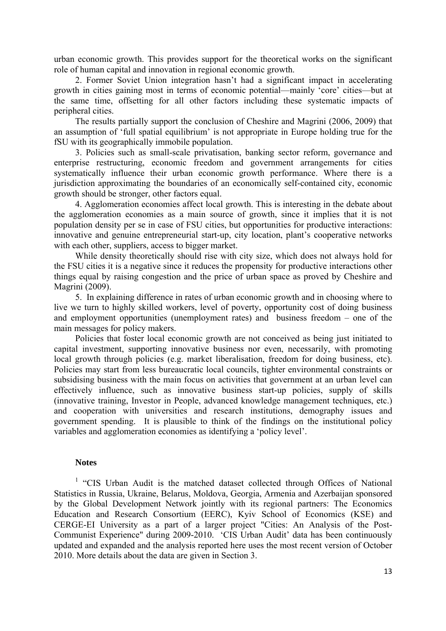urban economic growth. This provides support for the theoretical works on the significant role of human capital and innovation in regional economic growth.

2. Former Soviet Union integration hasn't had a significant impact in accelerating growth in cities gaining most in terms of economic potential—mainly 'core' cities—but at the same time, offsetting for all other factors including these systematic impacts of peripheral cities.

The results partially support the conclusion of Cheshire and Magrini (2006, 2009) that an assumption of 'full spatial equilibrium' is not appropriate in Europe holding true for the fSU with its geographically immobile population.

3. Policies such as small-scale privatisation, banking sector reform, governance and enterprise restructuring, economic freedom and government arrangements for cities systematically influence their urban economic growth performance. Where there is a jurisdiction approximating the boundaries of an economically self-contained city, economic growth should be stronger, other factors equal.

4. Agglomeration economies affect local growth. This is interesting in the debate about the agglomeration economies as a main source of growth, since it implies that it is not population density per se in case of FSU cities, but opportunities for productive interactions: innovative and genuine entrepreneurial start-up, city location, plant's cooperative networks with each other, suppliers, access to bigger market.

While density theoretically should rise with city size, which does not always hold for the FSU cities it is a negative since it reduces the propensity for productive interactions other things equal by raising congestion and the price of urban space as proved by Cheshire and Magrini (2009).

5. In explaining difference in rates of urban economic growth and in choosing where to live we turn to highly skilled workers, level of poverty, opportunity cost of doing business and employment opportunities (unemployment rates) and business freedom – one of the main messages for policy makers.

Policies that foster local economic growth are not conceived as being just initiated to capital investment, supporting innovative business nor even, necessarily, with promoting local growth through policies (e.g. market liberalisation, freedom for doing business, etc). Policies may start from less bureaucratic local councils, tighter environmental constraints or subsidising business with the main focus on activities that government at an urban level can effectively influence, such as innovative business start-up policies, supply of skills (innovative training, Investor in People, advanced knowledge management techniques, etc.) and cooperation with universities and research institutions, demography issues and government spending. It is plausible to think of the findings on the institutional policy variables and agglomeration economies as identifying a 'policy level'.

# **Notes**

<sup>1</sup> "CIS Urban Audit is the matched dataset collected through Offices of National Statistics in Russia, Ukraine, Belarus, Moldova, Georgia, Armenia and Azerbaijan sponsored by the Global Development Network jointly with its regional partners: The Economics Education and Research Consortium (EERC), Kyiv School of Economics (KSE) and CERGE-EI University as a part of a larger project "Cities: An Analysis of the Post-Communist Experience" during 2009-2010. 'CIS Urban Audit' data has been continuously updated and expanded and the analysis reported here uses the most recent version of October 2010. More details about the data are given in Section 3.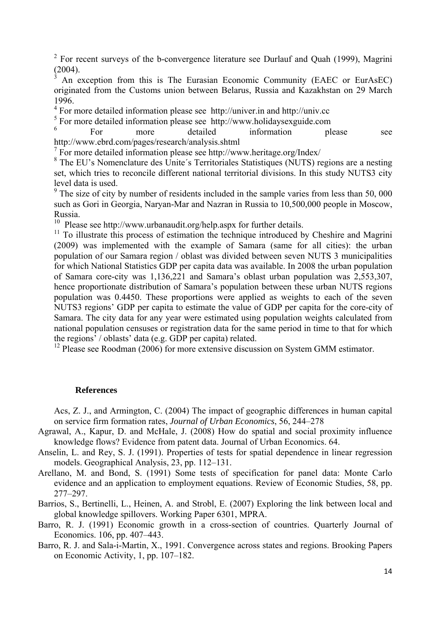<sup>2</sup> For recent surveys of the b-convergence literature see Durlauf and Quah (1999), Magrini (2004).

3 An exception from this is The Eurasian Economic Community (EAEC or EurAsEC) originated from the Customs union between Belarus, Russia and Kazakhstan on 29 March 1996.

<sup>4</sup> For more detailed information please see http://univer.in and http://univ.cc

<sup>5</sup> For more detailed information please see http://www.holidaysexguide.com

6 For more detailed information please see http://www.ebrd.com/pages/research/analysis.shtml

7 For more detailed information please see http://www.heritage.org/Index/

<sup>8</sup> The EU's Nomenclature des Unite's Territoriales Statistiques (NUTS) regions are a nesting set, which tries to reconcile different national territorial divisions. In this study NUTS3 city level data is used.

 $9<sup>9</sup>$  The size of city by number of residents included in the sample varies from less than 50, 000 such as Gori in Georgia, Naryan-Mar and Nazran in Russia to 10,500,000 people in Moscow, Russia.

<sup>10</sup> Please see http://www.urbanaudit.org/help.aspx for further details.

 $11$  To illustrate this process of estimation the technique introduced by Cheshire and Magrini (2009) was implemented with the example of Samara (same for all cities): the urban population of our Samara region / oblast was divided between seven NUTS 3 municipalities for which National Statistics GDP per capita data was available. In 2008 the urban population of Samara core-city was 1,136,221 and Samara's oblast urban population was 2,553,307, hence proportionate distribution of Samara's population between these urban NUTS regions population was 0.4450. These proportions were applied as weights to each of the seven NUTS3 regions' GDP per capita to estimate the value of GDP per capita for the core-city of Samara. The city data for any year were estimated using population weights calculated from national population censuses or registration data for the same period in time to that for which the regions' / oblasts' data (e.g. GDP per capita) related.

<sup>12</sup> Please see Roodman (2006) for more extensive discussion on System GMM estimator.

#### **References**

Acs, Z. J., and Armington, C. (2004) The impact of geographic differences in human capital on service firm formation rates, *Journal of Urban Economics*, 56, 244–278

- Agrawal, A., Kapur, D. and McHale, J. (2008) How do spatial and social proximity influence knowledge flows? Evidence from patent data. Journal of Urban Economics. 64.
- Anselin, L. and Rey, S. J. (1991). Properties of tests for spatial dependence in linear regression models. Geographical Analysis, 23, pp. 112–131.
- Arellano, M. and Bond, S. (1991) Some tests of specification for panel data: Monte Carlo evidence and an application to employment equations. Review of Economic Studies, 58, pp. 277–297.
- Barrios, S., Bertinelli, L., Heinen, A. and Strobl, E. (2007) Exploring the link between local and global knowledge spillovers. Working Paper 6301, MPRA.
- Barro, R. J. (1991) Economic growth in a cross-section of countries. Quarterly Journal of Economics. 106, pp. 407–443.
- Barro, R. J. and Sala-i-Martin, X., 1991. Convergence across states and regions. Brooking Papers on Economic Activity, 1, pp. 107–182.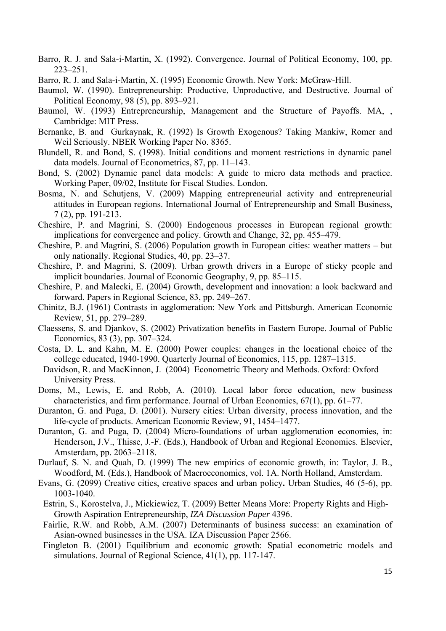- Barro, R. J. and Sala-i-Martin, X. (1992). Convergence. Journal of Political Economy, 100, pp. 223–251.
- Barro, R. J. and Sala-i-Martin, X. (1995) Economic Growth. New York: McGraw-Hill.
- Baumol, W. (1990). Entrepreneurship: Productive, Unproductive, and Destructive. Journal of Political Economy, 98 (5), pp. 893–921.
- Baumol, W. (1993) Entrepreneurship, Management and the Structure of Payoffs. MA, , Cambridge: MIT Press.
- Bernanke, B. and Gurkaynak, R. (1992) Is Growth Exogenous? Taking Mankiw, Romer and Weil Seriously. NBER Working Paper No. 8365.
- Blundell, R. and Bond, S. (1998). Initial conditions and moment restrictions in dynamic panel data models. Journal of Econometrics, 87, pp. 11–143.
- Bond, S. (2002) Dynamic panel data models: A guide to micro data methods and practice. Working Paper, 09/02, Institute for Fiscal Studies. London.
- Bosma, N. and Schutjens, V. (2009) Mapping entrepreneurial activity and entrepreneurial attitudes in European regions. International Journal of Entrepreneurship and Small Business, 7 (2), pp. 191-213.
- Cheshire, P. and Magrini, S. (2000) Endogenous processes in European regional growth: implications for convergence and policy. Growth and Change, 32, pp. 455–479.
- Cheshire, P. and Magrini, S. (2006) Population growth in European cities: weather matters but only nationally. Regional Studies, 40, pp. 23–37.
- Cheshire, P. and Magrini, S. (2009). Urban growth drivers in a Europe of sticky people and implicit boundaries. Journal of Economic Geography, 9, pp. 85–115.
- Cheshire, P. and Malecki, E. (2004) Growth, development and innovation: a look backward and forward. Papers in Regional Science, 83, pp. 249–267.
- Chinitz, B.J. (1961) Contrasts in agglomeration: New York and Pittsburgh. American Economic Review, 51, pp. 279–289.
- Claessens, S. and Djankov, S. (2002) Privatization benefits in Eastern Europe. Journal of Public Economics, 83 (3), pp. 307–324.
- Costa, D. L. and Kahn, M. E. (2000) Power couples: changes in the locational choice of the college educated, 1940-1990. Quarterly Journal of Economics, 115, pp. 1287–1315.
- Davidson, R. and MacKinnon, J. (2004) Econometric Theory and Methods. Oxford: Oxford University Press.
- Doms, M., Lewis, E. and Robb, A. (2010). Local labor force education, new business characteristics, and firm performance. Journal of Urban Economics, 67(1), pp. 61–77.
- Duranton, G. and Puga, D. (2001). Nursery cities: Urban diversity, process innovation, and the life-cycle of products. American Economic Review, 91, 1454–1477.
- Duranton, G. and Puga, D. (2004) Micro-foundations of urban agglomeration economies, in: Henderson, J.V., Thisse, J.-F. (Eds.), Handbook of Urban and Regional Economics. Elsevier, Amsterdam, pp. 2063–2118.
- Durlauf, S. N. and Quah, D. (1999) The new empirics of economic growth, in: Taylor, J. B., Woodford, M. (Eds.), Handbook of Macroeconomics, vol. 1A. North Holland, Amsterdam.
- Evans, G. (2099) Creative cities, creative spaces and urban policy**.** Urban Studies, 46 (5-6), pp. 1003-1040.
- Estrin, S., Korostelva, J., Mickiewicz, T. (2009) Better Means More: Property Rights and High-Growth Aspiration Entrepreneurship, *IZA Discussion Paper* 4396.
- Fairlie, R.W. and Robb, A.M. (2007) Determinants of business success: an examination of Asian-owned businesses in the USA. IZA Discussion Paper 2566.
- Fingleton B. (2001) Equilibrium and economic growth: Spatial econometric models and simulations. Journal of Regional Science, 41(1), pp. 117-147.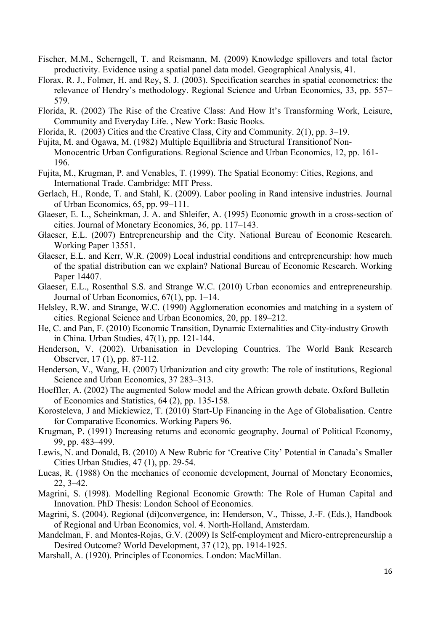- Fischer, M.M., Scherngell, T. and Reismann, M. (2009) Knowledge spillovers and total factor productivity. Evidence using a spatial panel data model. Geographical Analysis, 41.
- Florax, R. J., Folmer, H. and Rey, S. J. (2003). Specification searches in spatial econometrics: the relevance of Hendry's methodology. Regional Science and Urban Economics, 33, pp. 557– 579.
- Florida, R. (2002) The Rise of the Creative Class: And How It's Transforming Work, Leisure, Community and Everyday Life. , New York: Basic Books.
- Florida, R. (2003) Cities and the Creative Class, City and Community. 2(1), pp. 3–19.
- Fujita, M. and Ogawa, M. (1982) Multiple Equillibria and Structural Transitionof Non-Monocentric Urban Configurations. Regional Science and Urban Economics, 12, pp. 161- 196.
- Fujita, M., Krugman, P. and Venables, T. (1999). The Spatial Economy: Cities, Regions, and International Trade. Cambridge: MIT Press.
- Gerlach, H., Ronde, T. and Stahl, K. (2009). Labor pooling in Rand intensive industries. Journal of Urban Economics, 65, pp. 99–111.
- Glaeser, E. L., Scheinkman, J. A. and Shleifer, A. (1995) Economic growth in a cross-section of cities. Journal of Monetary Economics, 36, pp. 117–143.
- Glaeser, E.L. (2007) Entrepreneurship and the City. National Bureau of Economic Research. Working Paper 13551.
- Glaeser, E.L. and Kerr, W.R. (2009) Local industrial conditions and entrepreneurship: how much of the spatial distribution can we explain? National Bureau of Economic Research. Working Paper 14407.
- Glaeser, E.L., Rosenthal S.S. and Strange W.C. (2010) Urban economics and entrepreneurship. Journal of Urban Economics, 67(1), pp. 1–14.
- Helsley, R.W. and Strange, W.C. (1990) Agglomeration economies and matching in a system of cities. Regional Science and Urban Economics, 20, pp. 189–212.
- He, C. and Pan, F. (2010) Economic Transition, Dynamic Externalities and City-industry Growth in China. Urban Studies, 47(1), pp. 121-144.
- Henderson, V. (2002). Urbanisation in Developing Countries. The World Bank Research Observer, 17 (1), pp. 87-112.
- Henderson, V., Wang, H. (2007) Urbanization and city growth: The role of institutions, Regional Science and Urban Economics, 37 283–313.
- Hoeffler, A. (2002) The augmented Solow model and the African growth debate. Oxford Bulletin of Economics and Statistics, 64 (2), pp. 135-158.
- Korosteleva, J and Mickiewicz, T. (2010) Start-Up Financing in the Age of Globalisation. Centre for Comparative Economics. Working Papers 96.
- Krugman, P. (1991) Increasing returns and economic geography. Journal of Political Economy, 99, pp. 483–499.
- Lewis, N. and Donald, B. (2010) A New Rubric for 'Creative City' Potential in Canada's Smaller Cities Urban Studies, 47 (1), pp. 29-54.
- Lucas, R. (1988) On the mechanics of economic development, Journal of Monetary Economics, 22, 3–42.
- Magrini, S. (1998). Modelling Regional Economic Growth: The Role of Human Capital and Innovation. PhD Thesis: London School of Economics.
- Magrini, S. (2004). Regional (di)convergence, in: Henderson, V., Thisse, J.-F. (Eds.), Handbook of Regional and Urban Economics, vol. 4. North-Holland, Amsterdam.
- Mandelman, F. and Montes-Rojas, G.V. (2009) Is Self-employment and Micro-entrepreneurship a Desired Outcome? World Development, 37 (12), pp. 1914-1925.
- Marshall, A. (1920). Principles of Economics. London: MacMillan.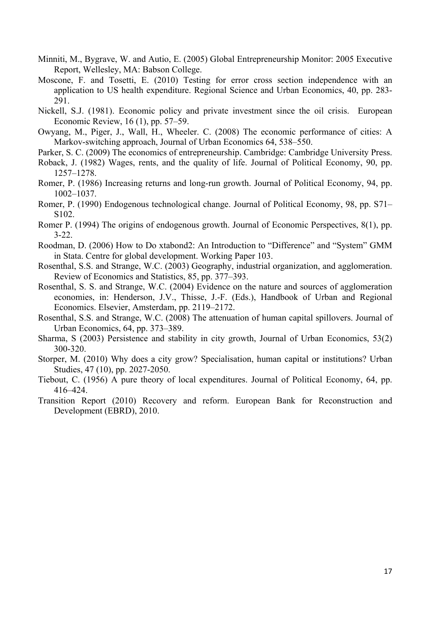- Minniti, M., Bygrave, W. and Autio, E. (2005) Global Entrepreneurship Monitor: 2005 Executive Report, Wellesley, MA: Babson College.
- Moscone, F. and Tosetti, E. (2010) Testing for error cross section independence with an application to US health expenditure. Regional Science and Urban Economics, 40, pp. 283- 291.
- Nickell, S.J. (1981). Economic policy and private investment since the oil crisis. European Economic Review, 16 (1), pp. 57–59.
- Owyang, M., Piger, J., Wall, H., Wheeler. C. (2008) The economic performance of cities: A Markov-switching approach, Journal of Urban Economics 64, 538–550.
- Parker, S. C. (2009) The economics of entrepreneurship. Cambridge: Cambridge University Press.
- Roback, J. (1982) Wages, rents, and the quality of life. Journal of Political Economy, 90, pp. 1257–1278.
- Romer, P. (1986) Increasing returns and long-run growth. Journal of Political Economy, 94, pp. 1002–1037.
- Romer, P. (1990) Endogenous technological change. Journal of Political Economy, 98, pp. S71– S102.
- Romer P. (1994) The origins of endogenous growth. Journal of Economic Perspectives, 8(1), pp. 3-22.
- Roodman, D. (2006) How to Do xtabond2: An Introduction to "Difference" and "System" GMM in Stata. Centre for global development. Working Paper 103.
- Rosenthal, S.S. and Strange, W.C. (2003) Geography, industrial organization, and agglomeration. Review of Economics and Statistics, 85, pp. 377–393.
- Rosenthal, S. S. and Strange, W.C. (2004) Evidence on the nature and sources of agglomeration economies, in: Henderson, J.V., Thisse, J.-F. (Eds.), Handbook of Urban and Regional Economics. Elsevier, Amsterdam, pp. 2119–2172.
- Rosenthal, S.S. and Strange, W.C. (2008) The attenuation of human capital spillovers. Journal of Urban Economics, 64, pp. 373–389.
- Sharma, S (2003) Persistence and stability in city growth, Journal of Urban Economics, 53(2) 300-320.
- Storper, M. (2010) Why does a city grow? Specialisation, human capital or institutions? Urban Studies, 47 (10), pp. 2027-2050.
- Tiebout, C. (1956) A pure theory of local expenditures. Journal of Political Economy, 64, pp. 416–424.
- Transition Report (2010) Recovery and reform. European Bank for Reconstruction and Development (EBRD), 2010.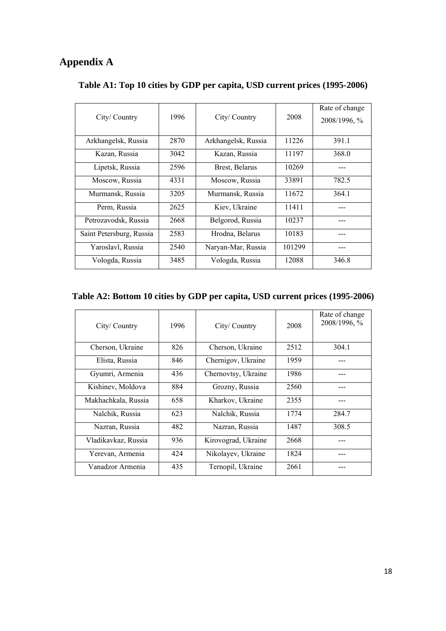# **Appendix A**

| City/Country             | 1996 | City/Country        | 2008   | Rate of change<br>2008/1996, % |  |  |
|--------------------------|------|---------------------|--------|--------------------------------|--|--|
| Arkhangelsk, Russia      | 2870 | Arkhangelsk, Russia | 11226  | 391.1                          |  |  |
| Kazan, Russia            | 3042 | Kazan, Russia       | 11197  | 368.0                          |  |  |
| Lipetsk, Russia          | 2596 | Brest, Belarus      | 10269  |                                |  |  |
| Moscow, Russia           | 4331 | Moscow, Russia      | 33891  | 782.5                          |  |  |
| Murmansk, Russia         | 3205 | Murmansk, Russia    | 11672  | 364.1                          |  |  |
| Perm, Russia             | 2625 | Kiev, Ukraine       | 11411  |                                |  |  |
| Petrozavodsk, Russia     | 2668 | Belgorod, Russia    | 10237  |                                |  |  |
| Saint Petersburg, Russia | 2583 | Hrodna, Belarus     | 10183  |                                |  |  |
| Yaroslavl, Russia        | 2540 | Naryan-Mar, Russia  | 101299 |                                |  |  |
| Vologda, Russia          | 3485 | Vologda, Russia     | 12088  | 346.8                          |  |  |

# **Table A1: Top 10 cities by GDP per capita, USD current prices (1995-2006)**

# **Table A2: Bottom 10 cities by GDP per capita, USD current prices (1995-2006)**

| City/Country        | 1996 | City/Country        | 2008 | Rate of change<br>2008/1996, % |
|---------------------|------|---------------------|------|--------------------------------|
| Cherson, Ukraine    | 826  | Cherson, Ukraine    | 2512 | 304.1                          |
| Elista, Russia      | 846  | Chernigov, Ukraine  | 1959 |                                |
| Gyumri, Armenia     | 436  | Chernovtsy, Ukraine | 1986 |                                |
| Kishinev, Moldova   | 884  | Grozny, Russia      | 2560 |                                |
| Makhachkala, Russia | 658  | Kharkov, Ukraine    | 2355 |                                |
| Nalchik, Russia     | 623  | Nalchik, Russia     | 1774 | 284.7                          |
| Nazran, Russia      | 482  | Nazran, Russia      | 1487 | 308.5                          |
| Vladikavkaz, Russia | 936  | Kirovograd, Ukraine | 2668 |                                |
| Yerevan, Armenia    | 424  | Nikolayev, Ukraine  | 1824 |                                |
| Vanadzor Armenia    | 435  | Ternopil, Ukraine   | 2661 |                                |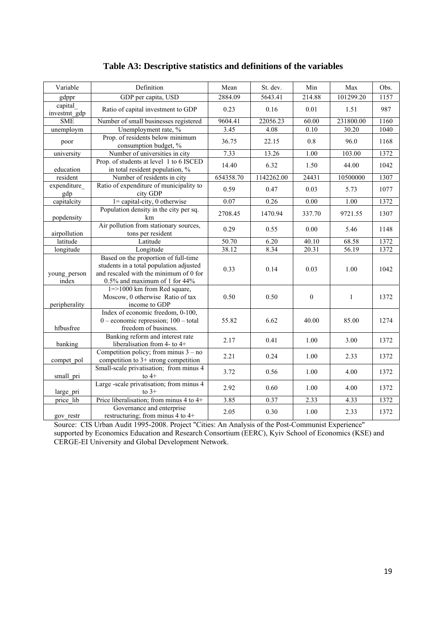| Variable                | Definition                                                                                                                                                    | Mean      | St. dev.   | Min              | Max                | Obs. |
|-------------------------|---------------------------------------------------------------------------------------------------------------------------------------------------------------|-----------|------------|------------------|--------------------|------|
| gdppr                   | GDP per capita, USD                                                                                                                                           | 2884.09   | 5643.41    | 214.88           | 101299.20          | 1157 |
| capital<br>investmt gdp | Ratio of capital investment to GDP                                                                                                                            | 0.23      | 0.16       | 0.01             | 1.51               | 987  |
| <b>SME</b>              | Number of small businesses registered                                                                                                                         | 9604.41   | 22056.23   | 60.00            | 231800.00          | 1160 |
| unemploym               | Unemployment rate, %                                                                                                                                          | 3.45      | 4.08       | 0.10             | $\overline{30.20}$ | 1040 |
| poor                    | Prop. of residents below minimum<br>consumption budget, %                                                                                                     | 36.75     | 22.15      | 0.8              | 96.0               | 1168 |
| university              | Number of universities in city                                                                                                                                | 7.33      | 13.26      | 1.00             | 103.00             | 1372 |
| education               | Prop. of students at level 1 to 6 ISCED<br>in total resident population, %                                                                                    | 14.40     | 6.32       | 1.50             | 44.00              | 1042 |
| resident                | Number of residents in city                                                                                                                                   | 654358.70 | 1142262.00 | 24431            | 10500000           | 1307 |
| expenditure<br>gdp      | Ratio of expenditure of municipality to<br>city GDP                                                                                                           | 0.59      | 0.47       | 0.03             | 5.73               | 1077 |
| capitalcity             | $1 =$ capital-city, 0 otherwise                                                                                                                               | 0.07      | 0.26       | 0.00             | 1.00               | 1372 |
| popdensity              | Population density in the city per sq.<br>km                                                                                                                  | 2708.45   | 1470.94    | 337.70           | 9721.55            | 1307 |
| airpollution            | Air pollution from stationary sources,<br>tons per resident                                                                                                   | 0.29      | 0.55       | 0.00             | 5.46               | 1148 |
| latitude                | Latitude                                                                                                                                                      | 50.70     | 6.20       | 40.10            | 68.58              | 1372 |
| longitude               | Longitude                                                                                                                                                     | 38.12     | 8.34       | 20.31            | 56.19              | 1372 |
| young person<br>index   | Based on the proportion of full-time<br>students in a total population adjusted<br>and rescaled with the minimum of 0 for<br>$0.5\%$ and maximum of 1 for 44% | 0.33      | 0.14       | 0.03             | 1.00               | 1042 |
| peripherality           | $1 = > 1000$ km from Red square,<br>Moscow, 0 otherwise Ratio of tax<br>income to GDP                                                                         | 0.50      | 0.50       | $\boldsymbol{0}$ | $\mathbf{1}$       | 1372 |
| hfbusfree               | Index of economic freedom, 0-100,<br>$0$ – economic repression; $100$ – total<br>freedom of business.                                                         | 55.82     | 6.62       | 40.00            | 85.00              | 1274 |
| banking                 | Banking reform and interest rate<br>liberalisation from 4- to 4+                                                                                              | 2.17      | 0.41       | 1.00             | 3.00               | 1372 |
| compet pol              | Competition policy; from minus $3 - no$<br>competition to 3+ strong competition                                                                               | 2.21      | 0.24       | 1.00             | 2.33               | 1372 |
| small pri               | Small-scale privatisation; from minus 4<br>to $4+$                                                                                                            | 3.72      | 0.56       | 1.00             | 4.00               | 1372 |
| large pri               | Large -scale privatisation; from minus 4<br>to $3+$                                                                                                           | 2.92      | 0.60       | 1.00             | 4.00               | 1372 |
| price lib               | Price liberalisation; from minus 4 to 4+                                                                                                                      | 3.85      | 0.37       | 2.33             | 4.33               | 1372 |
| gov restr               | Governance and enterprise<br>restructuring; from minus 4 to $4+$                                                                                              | 2.05      | 0.30       | 1.00             | 2.33               | 1372 |

# **Table A3: Descriptive statistics and definitions of the variables**

Source: CIS Urban Audit 1995-2008. Project "Cities: An Analysis of the Post-Communist Experience" supported by Economics Education and Research Consortium (EERC), Kyiv School of Economics (KSE) and CERGE-EI University and Global Development Network.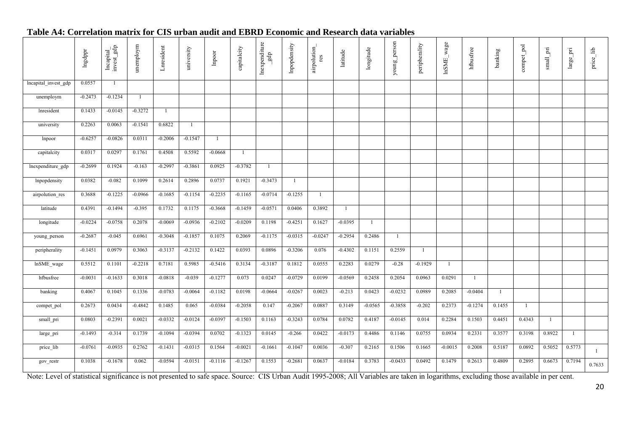#### **Table A4: Correlation matrix for CIS urban audit and EBRD Economic and Research data variables**

|                      | Ingdppr   | $\begin{array}{c} \text{Incapital} \\ \text{invest\_gdp} \end{array}$ | unemploym    | Lnresident     | university | $\label{eq:1} \text{lipoot}$ | capitalcity  | ${\bf In expenditure\_gdp}$ | Impopdensity | airpolution_<br>res | latitude       | longitude | young_person | peripherality | InSME_wage     | hfbusfree    | banking      | compet_pol   | $\pmb{\quad \text{small\_pri} }$ | large_pri | $\rm{price\_lib}$ |
|----------------------|-----------|-----------------------------------------------------------------------|--------------|----------------|------------|------------------------------|--------------|-----------------------------|--------------|---------------------|----------------|-----------|--------------|---------------|----------------|--------------|--------------|--------------|----------------------------------|-----------|-------------------|
| lncapital_invest_gdp | 0.0557    | -1                                                                    |              |                |            |                              |              |                             |              |                     |                |           |              |               |                |              |              |              |                                  |           |                   |
| unemploym            | $-0.2473$ | $-0.1234$                                                             | $\mathbf{1}$ |                |            |                              |              |                             |              |                     |                |           |              |               |                |              |              |              |                                  |           |                   |
| Inresident           | 0.1433    | $-0.0145$                                                             | $-0.3272$    | $\overline{1}$ |            |                              |              |                             |              |                     |                |           |              |               |                |              |              |              |                                  |           |                   |
| university           | 0.2263    | 0.0063                                                                | $-0.1541$    | 0.6822         | -1         |                              |              |                             |              |                     |                |           |              |               |                |              |              |              |                                  |           |                   |
| Inpoor               | $-0.6257$ | $-0.0826$                                                             | 0.0311       | $-0.2006$      | $-0.1547$  | -1                           |              |                             |              |                     |                |           |              |               |                |              |              |              |                                  |           |                   |
| capitalcity          | 0.0317    | 0.0297                                                                | 0.1761       | 0.4508         | 0.5592     | $-0.0668$                    | $\mathbf{1}$ |                             |              |                     |                |           |              |               |                |              |              |              |                                  |           |                   |
| lnexpenditure_gdp    | $-0.2699$ | 0.1924                                                                | $-0.163$     | $-0.2997$      | $-0.3861$  | 0.0925                       | $-0.3782$    | $\mathbf{1}$                |              |                     |                |           |              |               |                |              |              |              |                                  |           |                   |
| Inpopdensity         | 0.0382    | $-0.082$                                                              | 0.1099       | 0.2614         | 0.2896     | 0.0737                       | 0.1921       | $-0.3473$                   |              |                     |                |           |              |               |                |              |              |              |                                  |           |                   |
| airpolution_res      | 0.3688    | $-0.1225$                                                             | $-0.0966$    | $-0.1685$      | $-0.1154$  | $-0.2235$                    | $-0.1165$    | $-0.0714$                   | $-0.1255$    | $\mathbf{1}$        |                |           |              |               |                |              |              |              |                                  |           |                   |
| latitude             | 0.4391    | $-0.1494$                                                             | $-0.395$     | 0.1732         | 0.1175     | $-0.3668$                    | $-0.1459$    | $-0.0571$                   | 0.0406       | 0.3892              | $\overline{1}$ |           |              |               |                |              |              |              |                                  |           |                   |
| longitude            | $-0.0224$ | $-0.0758$                                                             | 0.2078       | $-0.0069$      | $-0.0936$  | $-0.2102$                    | $-0.0209$    | 0.1198                      | $-0.4251$    | 0.1627              | $-0.0395$      | -1        |              |               |                |              |              |              |                                  |           |                   |
| young_person         | $-0.2687$ | $-0.045$                                                              | 0.6961       | $-0.3048$      | $-0.1857$  | 0.1075                       | 0.2069       | $-0.1175$                   | $-0.0315$    | $-0.0247$           | $-0.2954$      | 0.2486    | 1            |               |                |              |              |              |                                  |           |                   |
| peripherality        | $-0.1451$ | 0.0979                                                                | 0.3063       | $-0.3137$      | $-0.2132$  | 0.1422                       | 0.0393       | 0.0896                      | $-0.3206$    | 0.076               | $-0.4302$      | 0.1151    | 0.2559       | $\mathbf{1}$  |                |              |              |              |                                  |           |                   |
| lnSME_wage           | 0.5512    | 0.1101                                                                | $-0.2218$    | 0.7181         | 0.5985     | $-0.5416$                    | 0.3134       | $-0.3187$                   | 0.1812       | 0.0555              | 0.2283         | 0.0279    | $-0.28$      | $-0.1929$     | $\overline{1}$ |              |              |              |                                  |           |                   |
| hfbusfree            | $-0.0031$ | $-0.1633$                                                             | 0.3018       | $-0.0818$      | $-0.039$   | $-0.1277$                    | 0.073        | 0.0247                      | $-0.0729$    | 0.0199              | $-0.0569$      | 0.2458    | 0.2054       | 0.0963        | 0.0291         | $\mathbf{1}$ |              |              |                                  |           |                   |
| banking              | 0.4067    | 0.1045                                                                | 0.1336       | $-0.0783$      | $-0.0064$  | $-0.1182$                    | 0.0198       | $-0.0664$                   | $-0.0267$    | 0.0023              | $-0.213$       | 0.0423    | $-0.0232$    | 0.0989        | 0.2085         | $-0.0404$    | $\mathbf{1}$ |              |                                  |           |                   |
| compet_pol           | 0.2673    | 0.0434                                                                | $-0.4842$    | 0.1485         | 0.065      | $-0.0384$                    | $-0.2058$    | 0.147                       | $-0.2067$    | 0.0887              | 0.3149         | $-0.0565$ | $-0.3858$    | $-0.202$      | 0.2373         | $-0.1274$    | 0.1455       | $\mathbf{1}$ |                                  |           |                   |
| small_pri            | 0.0803    | $-0.2391$                                                             | 0.0021       | $-0.0332$      | $-0.0124$  | $-0.0397$                    | $-0.1503$    | 0.1163                      | $-0.3243$    | 0.0784              | 0.0782         | 0.4187    | $-0.0145$    | 0.014         | 0.2284         | 0.1503       | 0.4451       | 0.4343       | -1                               |           |                   |
| large_pri            | $-0.1493$ | $-0.314$                                                              | 0.1739       | $-0.1094$      | $-0.0394$  | 0.0702                       | $-0.1323$    | 0.0145                      | $-0.266$     | 0.0422              | $-0.0173$      | 0.4486    | 0.1146       | 0.0755        | 0.0934         | 0.2331       | 0.3577       | 0.3198       | 0.8922                           | -1        |                   |
| price_lib            | $-0.0761$ | $-0.0935$                                                             | 0.2762       | $-0.1431$      | $-0.0315$  | 0.1564                       | $-0.0021$    | $-0.1661$                   | $-0.1047$    | 0.0036              | $-0.307$       | 0.2165    | 0.1506       | 0.1665        | $-0.0015$      | 0.2008       | 0.5187       | 0.0892       | 0.5052                           | 0.5773    | $\mathbf{1}$      |
| gov_restr            | 0.1038    | $-0.1678$                                                             | 0.062        | $-0.0594$      | $-0.0151$  | $-0.1116$                    | $-0.1267$    | 0.1553                      | $-0.2681$    | 0.0637              | $-0.0184$      | 0.3783    | $-0.0433$    | 0.0492        | 0.1479         | 0.2613       | 0.4809       | 0.2895       | 0.6673                           | 0.7194    | 0.7633            |

Note: Level of statistical significance is not presented to safe space. Source: CIS Urban Audit 1995-2008; All Variables are taken in logarithms, excluding those available in per cent.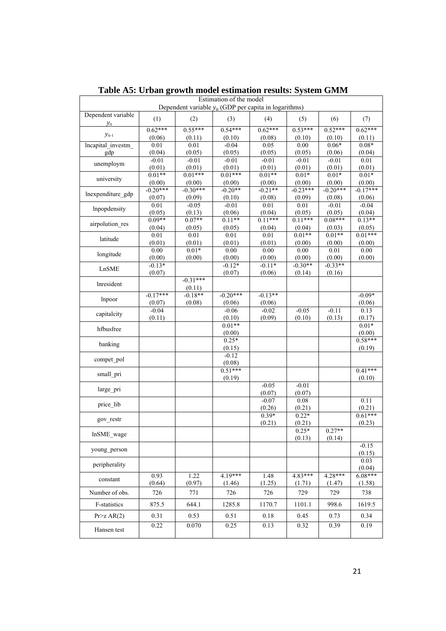|                          |                |                   | Estimation of the model<br>Dependent variable $y_{it}$ (GDP per capita in logarithms) |                   |                |                   |                     |
|--------------------------|----------------|-------------------|---------------------------------------------------------------------------------------|-------------------|----------------|-------------------|---------------------|
| Dependent variable       |                |                   |                                                                                       |                   |                |                   |                     |
| $y_{it}$                 | (1)            | (2)               | (3)                                                                                   | (4)               | (5)            | (6)               | (7)                 |
| $y_{it-1}$               | $0.62***$      | $0.55***$         | $0.54***$                                                                             | $0.62***$         | $0.53***$      | $0.52***$         | $0.62***$           |
|                          | (0.06)<br>0.01 | (0.11)<br>0.01    | (0.10)<br>$-0.04$                                                                     | (0.08)<br>0.05    | (0.10)<br>0.00 | (0.10)<br>$0.06*$ | (0.11)<br>$0.08*$   |
| Incapital investm<br>gdp | (0.04)         | (0.05)            | (0.05)                                                                                | (0.05)            | (0.05)         | (0.06)            | (0.04)              |
|                          | $-0.01$        | $-0.01$           | $-0.01$                                                                               | $-0.01$           | $-0.01$        | $-0.01$           | 0.01                |
| unemploym                | (0.01)         | (0.01)            | (0.01)                                                                                | (0.01)            | (0.01)         | (0.01)            | (0.01)              |
| university               | $0.01**$       | $0.01***$         | $0.01***$                                                                             | $0.01**$          | $0.01*$        | $0.01*$           | $0.01*$             |
|                          | (0.00)         | (0.00)            | (0.00)                                                                                | (0.00)            | (0.00)         | (0.00)            | (0.00)              |
| lnexpenditure gdp        | $-0.20***$     | $-0.30***$        | $-0.20**$                                                                             | $-0.21**$         | $-0.23***$     | $-0.20***$        | $-0.17***$          |
|                          | (0.07)<br>0.01 | (0.09)<br>$-0.05$ | (0.10)<br>$-0.01$                                                                     | (0.08)<br>0.01    | (0.09)<br>0.01 | (0.08)<br>$-0.01$ | (0.06)<br>$-0.04$   |
| Inpopdensity             | (0.05)         | (0.13)            | (0.06)                                                                                | (0.04)            | (0.05)         | (0.05)            | (0.04)              |
|                          | $0.09**$       | $0.07**$          | $0.11**$                                                                              | $0.11***$         | $0.11***$      | $0.08***$         | $0.13**$            |
| airpolution res          | (0.04)         | (0.05)            | (0.05)                                                                                | (0.04)            | (0.04)         | (0.03)            | (0.05)              |
|                          | 0.01           | 0.01              | 0.01                                                                                  | 0.01              | $0.01**$       | $0.01**$          | $0.01***$           |
| latitude                 | (0.01)         | (0.01)            | (0.01)                                                                                | (0.01)            | (0.00)         | (0.00)            | (0.00)              |
| longitude                | 0.00           | $0.01*$           | $\overline{0.00}$                                                                     | 0.00              | 0.00           | 0.01              | 0.00                |
|                          | (0.00)         | (0.00)            | (0.00)                                                                                | (0.00)            | (0.00)         | (0.00)            | (0.00)              |
| LnSME                    | $-0.13*$       |                   | $-0.12*$                                                                              | $-0.11*$          | $-0.30**$      | $-0.33**$         |                     |
|                          | (0.07)         | $-0.31***$        | (0.07)                                                                                | (0.06)            | (0.14)         | (0.16)            |                     |
| Inresident               |                | (0.11)            |                                                                                       |                   |                |                   |                     |
|                          | $-0.17***$     | $-0.18**$         | $-0.20***$                                                                            | $-0.13**$         |                |                   | $-0.09*$            |
| Inpoor                   | (0.07)         | (0.08)            | (0.06)                                                                                | (0.06)            |                |                   | (0.06)              |
| capitalcity              | $-0.04$        |                   | $-0.06$                                                                               | $-0.02$           | $-0.05$        | $-0.11$           | 0.13                |
|                          | (0.11)         |                   | (0.10)                                                                                | (0.09)            | (0.10)         | (0.13)            | (0.17)              |
| hfbusfree                |                |                   | $0.01**$                                                                              |                   |                |                   | $0.01*$             |
|                          |                |                   | (0.00)<br>$0.25*$                                                                     |                   |                |                   | (0.00)<br>$0.58***$ |
| banking                  |                |                   | (0.15)                                                                                |                   |                |                   | (0.19)              |
|                          |                |                   | $-0.12$                                                                               |                   |                |                   |                     |
| compet pol               |                |                   | (0.08)                                                                                |                   |                |                   |                     |
| small pri                |                |                   | $0.51***$                                                                             |                   |                |                   | $0.41***$           |
|                          |                |                   | (0.19)                                                                                |                   |                |                   | (0.10)              |
| large pri                |                |                   |                                                                                       | $-0.05$           | $-0.01$        |                   |                     |
|                          |                |                   |                                                                                       | (0.07)<br>$-0.07$ | (0.07)<br>0.08 |                   | 0.11                |
| price lib                |                |                   |                                                                                       | (0.26)            | (0.21)         |                   | (0.21)              |
|                          |                |                   |                                                                                       | $0.39*$           | $0.22*$        |                   | $0.61***$           |
| gov restr                |                |                   |                                                                                       | (0.21)            | (0.21)         |                   | (0.23)              |
| lnSME wage               |                |                   |                                                                                       |                   | $0.25*$        | $0.27**$          |                     |
|                          |                |                   |                                                                                       |                   | (0.13)         | (0.14)            |                     |
| young person             |                |                   |                                                                                       |                   |                |                   | $-0.15$             |
|                          |                |                   |                                                                                       |                   |                |                   | (0.15)<br>0.03      |
| peripherality            |                |                   |                                                                                       |                   |                |                   | (0.04)              |
|                          | 0.93           | 1.22              | $4.19***$                                                                             | 1.48              | $4.83***$      | 4.28***           | $6.08***$           |
| constant                 | (0.64)         | (0.97)            | (1.46)                                                                                | (1.25)            | (1.71)         | (1.47)            | (1.58)              |
| Number of obs.           | 726            | 771               | 726                                                                                   | 726               | 729            | 729               | 738                 |
| F-statistics             | 875.5          | 644.1             | 1285.8                                                                                | 1170.7            | 1101.1         | 998.6             | 1619.5              |
| Pr > Z AR(2)             | 0.31           | 0.53              | 0.51                                                                                  | 0.18              | 0.45           | 0.73              | 0.34                |
| Hansen test              | 0.22           | 0.070             | 0.25                                                                                  | 0.13              | 0.32           | 0.39              | 0.19                |

**Table A5: Urban growth model estimation results: System GMM**